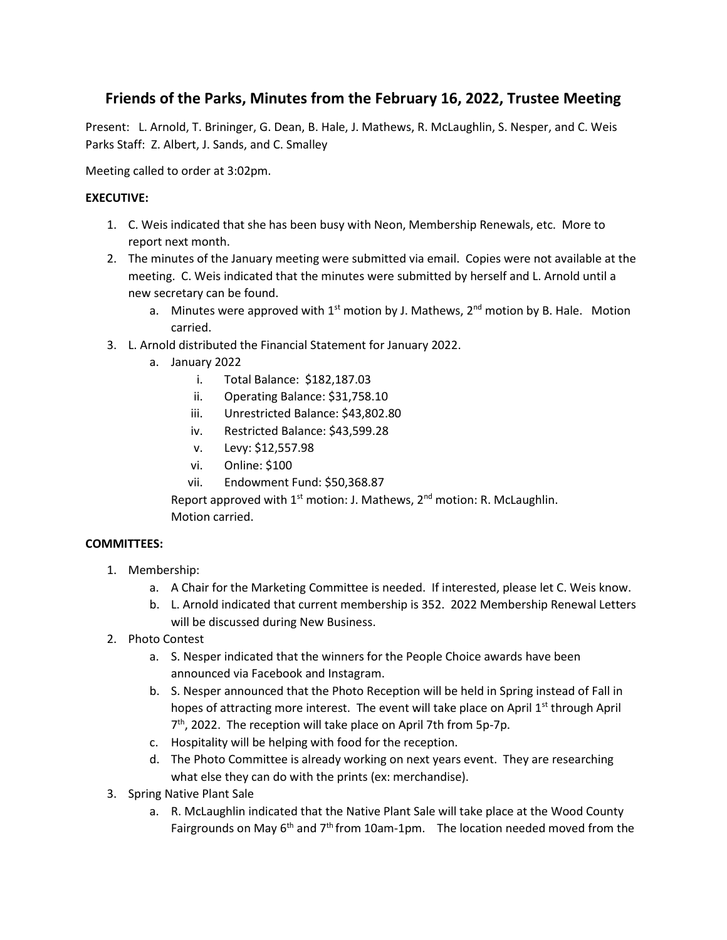# **Friends of the Parks, Minutes from the February 16, 2022, Trustee Meeting**

Present: L. Arnold, T. Brininger, G. Dean, B. Hale, J. Mathews, R. McLaughlin, S. Nesper, and C. Weis Parks Staff: Z. Albert, J. Sands, and C. Smalley

Meeting called to order at 3:02pm.

## **EXECUTIVE:**

- 1. C. Weis indicated that she has been busy with Neon, Membership Renewals, etc. More to report next month.
- 2. The minutes of the January meeting were submitted via email. Copies were not available at the meeting. C. Weis indicated that the minutes were submitted by herself and L. Arnold until a new secretary can be found.
	- a. Minutes were approved with  $1<sup>st</sup>$  motion by J. Mathews,  $2<sup>nd</sup>$  motion by B. Hale. Motion carried.
- 3. L. Arnold distributed the Financial Statement for January 2022.
	- a. January 2022
		- i. Total Balance: \$182,187.03
		- ii. Operating Balance: \$31,758.10
		- iii. Unrestricted Balance: \$43,802.80
		- iv. Restricted Balance: \$43,599.28
		- v. Levy: \$12,557.98
		- vi. Online: \$100
		- vii. Endowment Fund: \$50,368.87

Report approved with  $1<sup>st</sup>$  motion: J. Mathews,  $2<sup>nd</sup>$  motion: R. McLaughlin. Motion carried.

### **COMMITTEES:**

- 1. Membership:
	- a. A Chair for the Marketing Committee is needed. If interested, please let C. Weis know.
	- b. L. Arnold indicated that current membership is 352. 2022 Membership Renewal Letters will be discussed during New Business.
- 2. Photo Contest
	- a. S. Nesper indicated that the winners for the People Choice awards have been announced via Facebook and Instagram.
	- b. S. Nesper announced that the Photo Reception will be held in Spring instead of Fall in hopes of attracting more interest. The event will take place on April  $1<sup>st</sup>$  through April 7 th, 2022. The reception will take place on April 7th from 5p-7p.
	- c. Hospitality will be helping with food for the reception.
	- d. The Photo Committee is already working on next years event. They are researching what else they can do with the prints (ex: merchandise).
- 3. Spring Native Plant Sale
	- a. R. McLaughlin indicated that the Native Plant Sale will take place at the Wood County Fairgrounds on May  $6<sup>th</sup>$  and  $7<sup>th</sup>$  from 10am-1pm. The location needed moved from the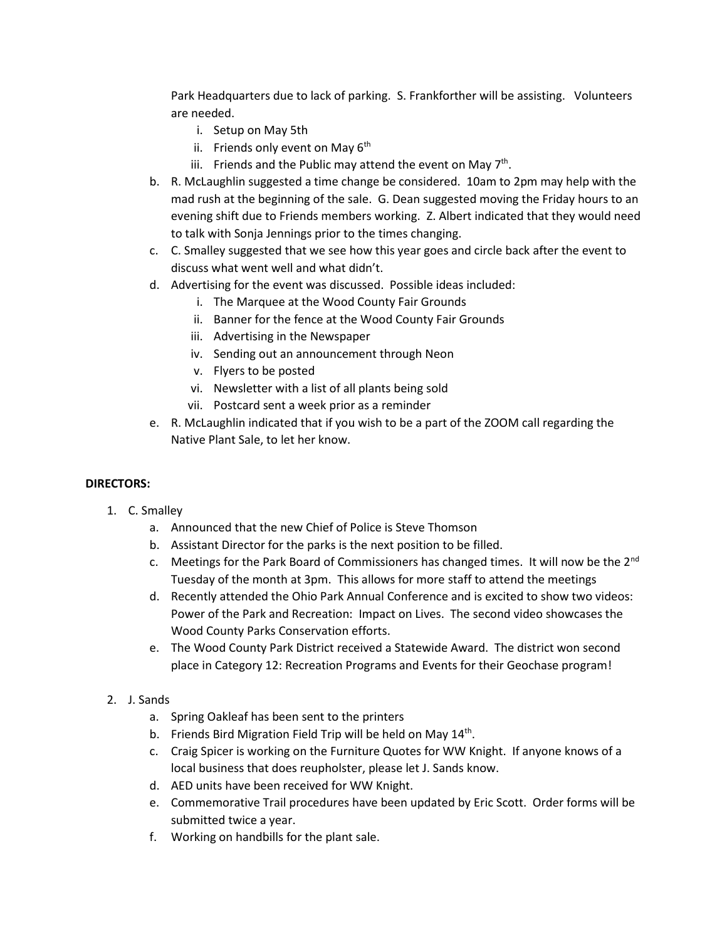Park Headquarters due to lack of parking. S. Frankforther will be assisting. Volunteers are needed.

- i. Setup on May 5th
- ii. Friends only event on May 6<sup>th</sup>
- iii. Friends and the Public may attend the event on May  $7<sup>th</sup>$ .
- b. R. McLaughlin suggested a time change be considered. 10am to 2pm may help with the mad rush at the beginning of the sale. G. Dean suggested moving the Friday hours to an evening shift due to Friends members working. Z. Albert indicated that they would need to talk with Sonja Jennings prior to the times changing.
- c. C. Smalley suggested that we see how this year goes and circle back after the event to discuss what went well and what didn't.
- d. Advertising for the event was discussed. Possible ideas included:
	- i. The Marquee at the Wood County Fair Grounds
	- ii. Banner for the fence at the Wood County Fair Grounds
	- iii. Advertising in the Newspaper
	- iv. Sending out an announcement through Neon
	- v. Flyers to be posted
	- vi. Newsletter with a list of all plants being sold
	- vii. Postcard sent a week prior as a reminder
- e. R. McLaughlin indicated that if you wish to be a part of the ZOOM call regarding the Native Plant Sale, to let her know.

#### **DIRECTORS:**

- 1. C. Smalley
	- a. Announced that the new Chief of Police is Steve Thomson
	- b. Assistant Director for the parks is the next position to be filled.
	- c. Meetings for the Park Board of Commissioners has changed times. It will now be the  $2^{nd}$ Tuesday of the month at 3pm. This allows for more staff to attend the meetings
	- d. Recently attended the Ohio Park Annual Conference and is excited to show two videos: Power of the Park and Recreation: Impact on Lives. The second video showcases the Wood County Parks Conservation efforts.
	- e. The Wood County Park District received a Statewide Award. The district won second place in Category 12: Recreation Programs and Events for their Geochase program!
- 2. J. Sands
	- a. Spring Oakleaf has been sent to the printers
	- b. Friends Bird Migration Field Trip will be held on May  $14<sup>th</sup>$ .
	- c. Craig Spicer is working on the Furniture Quotes for WW Knight. If anyone knows of a local business that does reupholster, please let J. Sands know.
	- d. AED units have been received for WW Knight.
	- e. Commemorative Trail procedures have been updated by Eric Scott. Order forms will be submitted twice a year.
	- f. Working on handbills for the plant sale.